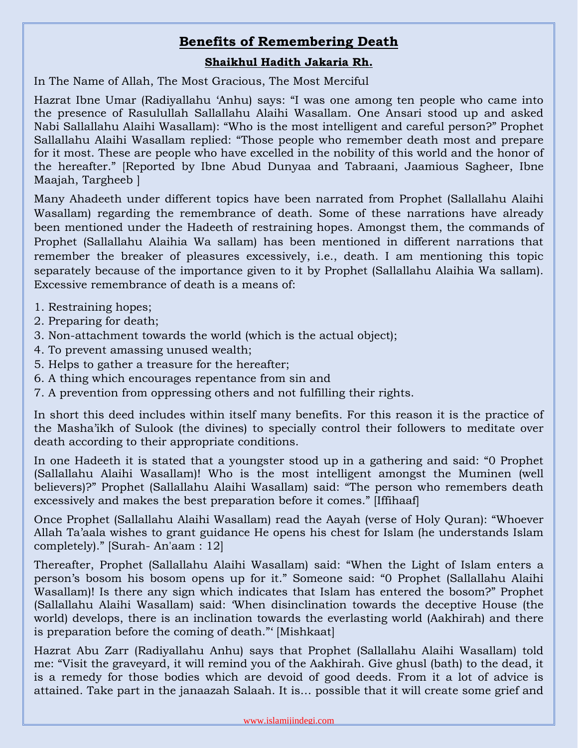## **Benefits of Remembering Death**

## **Shaikhul Hadith Jakaria Rh.**

In The Name of Allah, The Most Gracious, The Most Merciful

Hazrat Ibne Umar (Radiyallahu 'Anhu) says: "I was one among ten people who came into the presence of Rasulullah Sallallahu Alaihi Wasallam. One Ansari stood up and asked Nabi Sallallahu Alaihi Wasallam): "Who is the most intelligent and careful person?" Prophet Sallallahu Alaihi Wasallam replied: "Those people who remember death most and prepare for it most. These are people who have excelled in the nobility of this world and the honor of the hereafter." [Reported by Ibne Abud Dunyaa and Tabraani, Jaamious Sagheer, Ibne Maajah, Targheeb ]

Many Ahadeeth under different topics have been narrated from Prophet (Sallallahu Alaihi Wasallam) regarding the remembrance of death. Some of these narrations have already been mentioned under the Hadeeth of restraining hopes. Amongst them, the commands of Prophet (Sallallahu Alaihia Wa sallam) has been mentioned in different narrations that remember the breaker of pleasures excessively, i.e., death. I am mentioning this topic separately because of the importance given to it by Prophet (Sallallahu Alaihia Wa sallam). Excessive remembrance of death is a means of:

- 1. Restraining hopes;
- 2. Preparing for death;
- 3. Non-attachment towards the world (which is the actual object);
- 4. To prevent amassing unused wealth;
- 5. Helps to gather a treasure for the hereafter;
- 6. A thing which encourages repentance from sin and
- 7. A prevention from oppressing others and not fulfilling their rights.

In short this deed includes within itself many benefits. For this reason it is the practice of the Masha'ikh of Sulook (the divines) to specially control their followers to meditate over death according to their appropriate conditions.

In one Hadeeth it is stated that a youngster stood up in a gathering and said: "0 Prophet (Sallallahu Alaihi Wasallam)! Who is the most intelligent amongst the Muminen (well believers)?" Prophet (Sallallahu Alaihi Wasallam) said: "The person who remembers death excessively and makes the best preparation before it comes." [Iffihaaf]

Once Prophet (Sallallahu Alaihi Wasallam) read the Aayah (verse of Holy Quran): "Whoever Allah Ta'aala wishes to grant guidance He opens his chest for Islam (he understands Islam completely)." [Surah- An'aam : 12]

Thereafter, Prophet (Sallallahu Alaihi Wasallam) said: "When the Light of Islam enters a person's bosom his bosom opens up for it." Someone said: "0 Prophet (Sallallahu Alaihi Wasallam)! Is there any sign which indicates that Islam has entered the bosom?" Prophet (Sallallahu Alaihi Wasallam) said: 'When disinclination towards the deceptive House (the world) develops, there is an inclination towards the everlasting world (Aakhirah) and there is preparation before the coming of death."' [Mishkaat]

Hazrat Abu Zarr (Radiyallahu Anhu) says that Prophet (Sallallahu Alaihi Wasallam) told me: "Visit the graveyard, it will remind you of the Aakhirah. Give ghusl (bath) to the dead, it is a remedy for those bodies which are devoid of good deeds. From it a lot of advice is attained. Take part in the janaazah Salaah. It is… possible that it will create some grief and